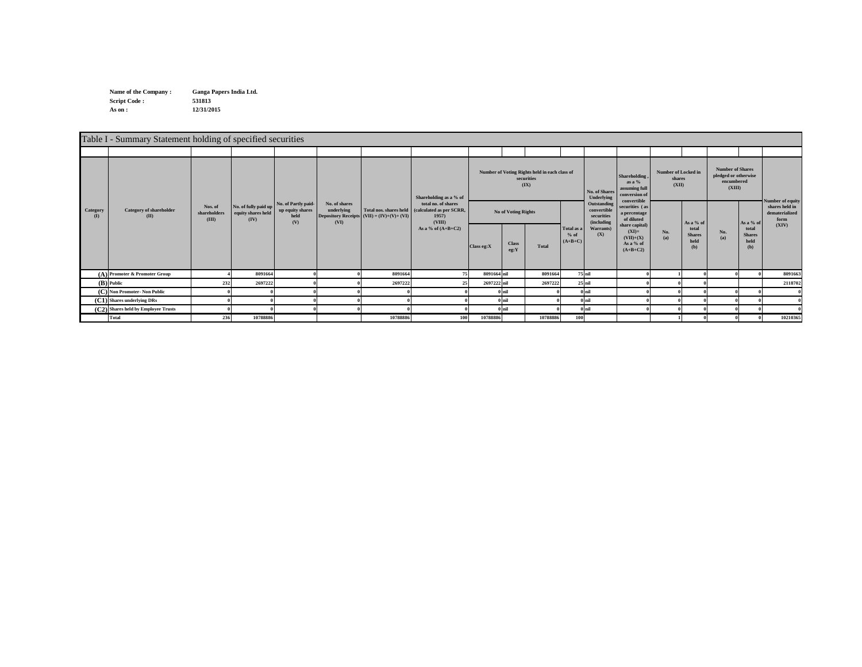**Name of the Company : Script Code : 531813 As on : 12/31/2015 Ganga Papers India Ltd.**

|                          | Table I - Summary Statement holding of specified securities |                                  |                                                    |                                                        |                                     |                                             |                                                                                                                                             |             |                      |                                                                     |                                                        |                                              |                                                                                  |                                               |                                       |                                                                         |                                          |                  |
|--------------------------|-------------------------------------------------------------|----------------------------------|----------------------------------------------------|--------------------------------------------------------|-------------------------------------|---------------------------------------------|---------------------------------------------------------------------------------------------------------------------------------------------|-------------|----------------------|---------------------------------------------------------------------|--------------------------------------------------------|----------------------------------------------|----------------------------------------------------------------------------------|-----------------------------------------------|---------------------------------------|-------------------------------------------------------------------------|------------------------------------------|------------------|
|                          |                                                             |                                  |                                                    |                                                        |                                     |                                             |                                                                                                                                             |             |                      |                                                                     |                                                        |                                              |                                                                                  |                                               |                                       |                                                                         |                                          |                  |
|                          |                                                             | Nos. of<br>shareholders<br>(III) |                                                    |                                                        | No. of shares<br>underlying<br>(VI) | Depository Receipts (VII) = $(IV)+(V)+(VI)$ | Shareholding as a % of<br>total no. of shares<br>Total nos. shares held (calculated as per SCRR,<br>1957)<br>(VIII)<br>As a % of $(A+B+C2)$ |             |                      | Number of Voting Rights held in each class of<br>securities<br>(IX) |                                                        | No. of Shares<br>Underlying                  | <b>Shareholding</b><br>as a $%$<br>assuming full<br>conversion of<br>convertible | <b>Number of Locked in</b><br>shares<br>(XII) |                                       | <b>Number of Shares</b><br>pledged or otherwise<br>encumbered<br>(XIII) |                                          | Number of equity |
| Category<br>$\mathbf{D}$ | <b>Category of shareholder</b><br>(II)                      |                                  | No. of fully paid up<br>equity shares held<br>(IV) | No. of Partly paid-<br>up equity shares<br>held<br>(V) |                                     |                                             |                                                                                                                                             |             | No of Voting Rights  |                                                                     | Outstanding<br>convertible<br>securities<br>(including | securities (as<br>a percentage<br>of diluted |                                                                                  | As a % of                                     |                                       | As a % of                                                               | shares held in<br>dematerialized<br>form |                  |
|                          |                                                             |                                  |                                                    |                                                        |                                     |                                             |                                                                                                                                             | Class eg:X  | <b>Class</b><br>eg:Y | <b>Total</b>                                                        | Total as a<br>$%$ of<br>$(A+B+C)$                      | Warrants)<br>(X)                             | share capital)<br>$(XI)=$<br>$(VII)+(X)$<br>As a % of<br>$(A+B+C2)$              | No.<br>(a)                                    | total<br><b>Shares</b><br>held<br>(b) | No.<br>(a)                                                              | total<br><b>Shares</b><br>held<br>(b)    | (XIV)            |
|                          | (A) Promoter & Promoter Group                               |                                  | 8091664                                            |                                                        |                                     | 8091664                                     |                                                                                                                                             | 8091664 nil |                      | 8091664                                                             |                                                        | 75 nil                                       |                                                                                  |                                               |                                       |                                                                         |                                          | 8091663          |
|                          | (B) Public                                                  | 232                              | 2697222                                            |                                                        |                                     | 2697222                                     |                                                                                                                                             | 2697222 nil |                      | 2697222                                                             |                                                        | 25 nil                                       |                                                                                  |                                               |                                       |                                                                         |                                          | 2118702          |
| (C)                      | <b>Non Promoter-Non Public</b>                              |                                  |                                                    |                                                        |                                     |                                             |                                                                                                                                             |             | $0$ nil              |                                                                     |                                                        | $0$ nil                                      |                                                                                  |                                               |                                       |                                                                         |                                          |                  |
|                          | (C1) Shares underlying DRs                                  |                                  |                                                    |                                                        |                                     |                                             |                                                                                                                                             |             | $0$ nil              |                                                                     |                                                        | $0$ <sub>nil</sub>                           |                                                                                  |                                               |                                       |                                                                         |                                          |                  |
|                          | (C2) Shares held by Employee Trusts                         |                                  |                                                    |                                                        |                                     |                                             |                                                                                                                                             |             | $0$ nil              |                                                                     |                                                        | $0$ nil                                      |                                                                                  |                                               |                                       |                                                                         |                                          |                  |
|                          | <b>Total</b>                                                | 236                              | 10788886                                           |                                                        |                                     | 10788886                                    | 100                                                                                                                                         | 10788886    |                      | 10788886                                                            | 100                                                    |                                              |                                                                                  |                                               |                                       |                                                                         |                                          | 10210365         |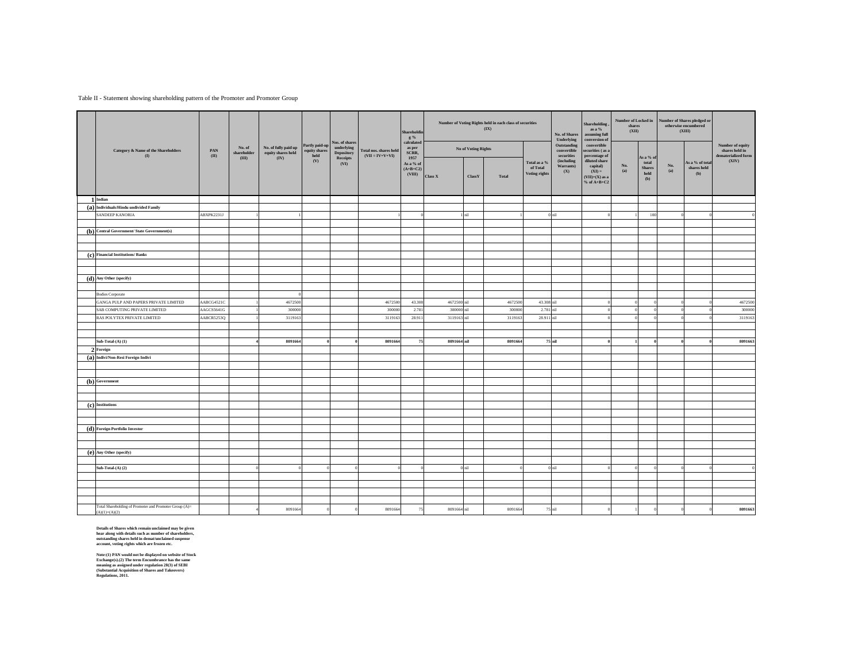## Table II - Statement showing shareholding pattern of the Promoter and Promoter Group

|                                                                           |            |                               |                                            |                                 | Nos. of shares                  |                        | Shareholdin<br>$g\%$<br>calculated |                                           |         | Number of Voting Rights held in each class of securities<br>(IX) |            | No. of Shares<br>Underlying                      | Shareholding.<br>as a $%$<br>assuming full<br>conversion of | Number of Locked in<br>shares<br>(XII)                                                      |            |                                                             | Number of Shares pledged or<br>$otherwise\,$ encumbered<br>(XIII) |                                           |                              |
|---------------------------------------------------------------------------|------------|-------------------------------|--------------------------------------------|---------------------------------|---------------------------------|------------------------|------------------------------------|-------------------------------------------|---------|------------------------------------------------------------------|------------|--------------------------------------------------|-------------------------------------------------------------|---------------------------------------------------------------------------------------------|------------|-------------------------------------------------------------|-------------------------------------------------------------------|-------------------------------------------|------------------------------|
| Category & Name of the Shareholders                                       | PAN        | No. of<br>${\tt shareholder}$ | No. of fully paid up<br>equity shares held | Partly paid-up<br>equity shares | underlying<br><b>Depository</b> | Total nos. shares held | as per<br>SCRR,                    | No of Voting Rights                       |         |                                                                  |            | Outstanding<br>$\,$ convertible                  | convertible<br>securities (as a                             |                                                                                             |            |                                                             |                                                                   | <b>Number of equity</b><br>shares held in |                              |
| (1)                                                                       | (II)       |                               | (III)                                      | (IV)                            | held<br>(V)                     | Receipts<br>(VI)       | $(VII = IV+V+VI)$                  | 1957<br>As a % of<br>$(A+B+C2)$<br>(VIII) | Class X | ClassY                                                           | Total      | Total as a %<br>of Total<br><b>Voting rights</b> | ${\bf securities}$<br>(including<br>Warrants)<br>(X)        | percentage of<br>diluted share<br>capital)<br>$(XI) =$<br>$(VII)+(X)$ as a<br>$% of A+B+C2$ | No.<br>(a) | As a % of<br>total<br><b>Shares</b><br>$_{\rm held}$<br>(b) | No.<br>(a)                                                        | As a % of total<br>shares held<br>(b)     | dematerialized form<br>(XIV) |
| 1 Indian                                                                  |            |                               |                                            |                                 |                                 |                        |                                    |                                           |         |                                                                  |            |                                                  |                                                             |                                                                                             |            |                                                             |                                                                   |                                           |                              |
| (a) Individuals/Hindu undivided Family                                    |            |                               |                                            |                                 |                                 |                        |                                    |                                           |         |                                                                  |            |                                                  |                                                             |                                                                                             |            |                                                             |                                                                   |                                           |                              |
| SANDEEP KANORIA                                                           | ABXPK2231J |                               |                                            |                                 |                                 |                        |                                    |                                           | nil     |                                                                  |            | nil                                              |                                                             |                                                                                             | 100        |                                                             |                                                                   |                                           |                              |
| (b) Central Government/ State Government(s)                               |            |                               |                                            |                                 |                                 |                        |                                    |                                           |         |                                                                  |            |                                                  |                                                             |                                                                                             |            |                                                             |                                                                   |                                           |                              |
|                                                                           |            |                               |                                            |                                 |                                 |                        |                                    |                                           |         |                                                                  |            |                                                  |                                                             |                                                                                             |            |                                                             |                                                                   |                                           |                              |
|                                                                           |            |                               |                                            |                                 |                                 |                        |                                    |                                           |         |                                                                  |            |                                                  |                                                             |                                                                                             |            |                                                             |                                                                   |                                           |                              |
| (c) Financial Institutions/ Banks                                         |            |                               |                                            |                                 |                                 |                        |                                    |                                           |         |                                                                  |            |                                                  |                                                             |                                                                                             |            |                                                             |                                                                   |                                           |                              |
|                                                                           |            |                               |                                            |                                 |                                 |                        |                                    |                                           |         |                                                                  |            |                                                  |                                                             |                                                                                             |            |                                                             |                                                                   |                                           |                              |
|                                                                           |            |                               |                                            |                                 |                                 |                        |                                    |                                           |         |                                                                  |            |                                                  |                                                             |                                                                                             |            |                                                             |                                                                   |                                           |                              |
| (d) Any Other (specify)                                                   |            |                               |                                            |                                 |                                 |                        |                                    |                                           |         |                                                                  |            |                                                  |                                                             |                                                                                             |            |                                                             |                                                                   |                                           |                              |
|                                                                           |            |                               |                                            |                                 |                                 |                        |                                    |                                           |         |                                                                  |            |                                                  |                                                             |                                                                                             |            |                                                             |                                                                   |                                           |                              |
| <b>Bodies Corporate</b>                                                   |            |                               |                                            |                                 |                                 |                        |                                    |                                           |         |                                                                  |            |                                                  |                                                             |                                                                                             |            |                                                             |                                                                   |                                           |                              |
| GANGA PULP AND PAPERS PRIVATE LIMITED                                     | AABCG4521C |                               | 4672500                                    |                                 |                                 | 4672500                | 43.308                             | 4672500                                   |         | 4672500                                                          | 43.308 nil |                                                  |                                                             |                                                                                             |            |                                                             |                                                                   | 4672500                                   |                              |
| SAB COMPUTING PRIVATE LIMITED                                             | AAGCS5641G |                               | 300000                                     |                                 |                                 | 300000                 | 2.781                              | 300000                                    |         | 300000                                                           | 2.781      |                                                  |                                                             |                                                                                             |            |                                                             |                                                                   | 300000                                    |                              |
| RAS POLYTEX PRIVATE LIMITED                                               | AABCR5253Q |                               | 3119163                                    |                                 |                                 | 3119163                | 28.911                             | 311916                                    |         | 3119163                                                          | 28.911     |                                                  |                                                             |                                                                                             |            |                                                             |                                                                   | 3119163                                   |                              |
|                                                                           |            |                               |                                            |                                 |                                 |                        |                                    |                                           |         |                                                                  |            |                                                  |                                                             |                                                                                             |            |                                                             |                                                                   |                                           |                              |
|                                                                           |            |                               |                                            |                                 |                                 |                        |                                    |                                           |         |                                                                  |            |                                                  |                                                             |                                                                                             |            |                                                             |                                                                   |                                           |                              |
| Sub-Total- $(A)$ $(1)$                                                    |            |                               | 8091664                                    |                                 |                                 | 8091664                | 75                                 | 8091664 nil                               |         | 8091664                                                          |            | $75$ nil                                         |                                                             |                                                                                             |            |                                                             |                                                                   | 8091663                                   |                              |
| 2 Foreign                                                                 |            |                               |                                            |                                 |                                 |                        |                                    |                                           |         |                                                                  |            |                                                  |                                                             |                                                                                             |            |                                                             |                                                                   |                                           |                              |
| (a) Indivi/Non-Resi Foreign Indivi                                        |            |                               |                                            |                                 |                                 |                        |                                    |                                           |         |                                                                  |            |                                                  |                                                             |                                                                                             |            |                                                             |                                                                   |                                           |                              |
|                                                                           |            |                               |                                            |                                 |                                 |                        |                                    |                                           |         |                                                                  |            |                                                  |                                                             |                                                                                             |            |                                                             |                                                                   |                                           |                              |
|                                                                           |            |                               |                                            |                                 |                                 |                        |                                    |                                           |         |                                                                  |            |                                                  |                                                             |                                                                                             |            |                                                             |                                                                   |                                           |                              |
| (b) Government                                                            |            |                               |                                            |                                 |                                 |                        |                                    |                                           |         |                                                                  |            |                                                  |                                                             |                                                                                             |            |                                                             |                                                                   |                                           |                              |
|                                                                           |            |                               |                                            |                                 |                                 |                        |                                    |                                           |         |                                                                  |            |                                                  |                                                             |                                                                                             |            |                                                             |                                                                   |                                           |                              |
|                                                                           |            |                               |                                            |                                 |                                 |                        |                                    |                                           |         |                                                                  |            |                                                  |                                                             |                                                                                             |            |                                                             |                                                                   |                                           |                              |
| (c) Institutions                                                          |            |                               |                                            |                                 |                                 |                        |                                    |                                           |         |                                                                  |            |                                                  |                                                             |                                                                                             |            |                                                             |                                                                   |                                           |                              |
|                                                                           |            |                               |                                            |                                 |                                 |                        |                                    |                                           |         |                                                                  |            |                                                  |                                                             |                                                                                             |            |                                                             |                                                                   |                                           |                              |
|                                                                           |            |                               |                                            |                                 |                                 |                        |                                    |                                           |         |                                                                  |            |                                                  |                                                             |                                                                                             |            |                                                             |                                                                   |                                           |                              |
| (d) Foreign Portfolio Investor                                            |            |                               |                                            |                                 |                                 |                        |                                    |                                           |         |                                                                  |            |                                                  |                                                             |                                                                                             |            |                                                             |                                                                   |                                           |                              |
|                                                                           |            |                               |                                            |                                 |                                 |                        |                                    |                                           |         |                                                                  |            |                                                  |                                                             |                                                                                             |            |                                                             |                                                                   |                                           |                              |
|                                                                           |            |                               |                                            |                                 |                                 |                        |                                    |                                           |         |                                                                  |            |                                                  |                                                             |                                                                                             |            |                                                             |                                                                   |                                           |                              |
| (e) Any Other (specify)                                                   |            |                               |                                            |                                 |                                 |                        |                                    |                                           |         |                                                                  |            |                                                  |                                                             |                                                                                             |            |                                                             |                                                                   |                                           |                              |
|                                                                           |            |                               |                                            |                                 |                                 |                        |                                    |                                           |         |                                                                  |            |                                                  |                                                             |                                                                                             |            |                                                             |                                                                   |                                           |                              |
| Sub-Total- $(A)$ $(2)$                                                    |            |                               |                                            |                                 |                                 |                        |                                    |                                           | nil     |                                                                  |            | $0$ nil                                          |                                                             |                                                                                             |            |                                                             |                                                                   |                                           |                              |
|                                                                           |            |                               |                                            |                                 |                                 |                        |                                    |                                           |         |                                                                  |            |                                                  |                                                             |                                                                                             |            |                                                             |                                                                   |                                           |                              |
|                                                                           |            |                               |                                            |                                 |                                 |                        |                                    |                                           |         |                                                                  |            |                                                  |                                                             |                                                                                             |            |                                                             |                                                                   |                                           |                              |
|                                                                           |            |                               |                                            |                                 |                                 |                        |                                    |                                           |         |                                                                  |            |                                                  |                                                             |                                                                                             |            |                                                             |                                                                   |                                           |                              |
|                                                                           |            |                               |                                            |                                 |                                 |                        |                                    |                                           |         |                                                                  |            |                                                  |                                                             |                                                                                             |            |                                                             |                                                                   |                                           |                              |
| Total Shareholding of Promoter and Promoter Group (A)=<br>$(A)(1)+(A)(2)$ |            |                               | 8091664                                    |                                 |                                 | 8091664                | 75                                 | 8091664 nil                               |         | 8091664                                                          |            | $75\,\mathrm{nil}$                               |                                                             |                                                                                             |            |                                                             |                                                                   | 8091663                                   |                              |

Details of Shares which remain unclaimed may be given<br>hear along with details such as number of shareholders,<br>outstanding shares held in demat/unclaimed suspense<br>account, voting rights which are frozen etc.

Note:(1) PAN would not be displayed on website of Stock<br>Exchange(s).(2) The term Encumbrance has the same<br>meaning as assigned under regulation 28(3) of SEBI<br>(Substantial Acquisition of Shares and Takeovers)<br>Regulations, 20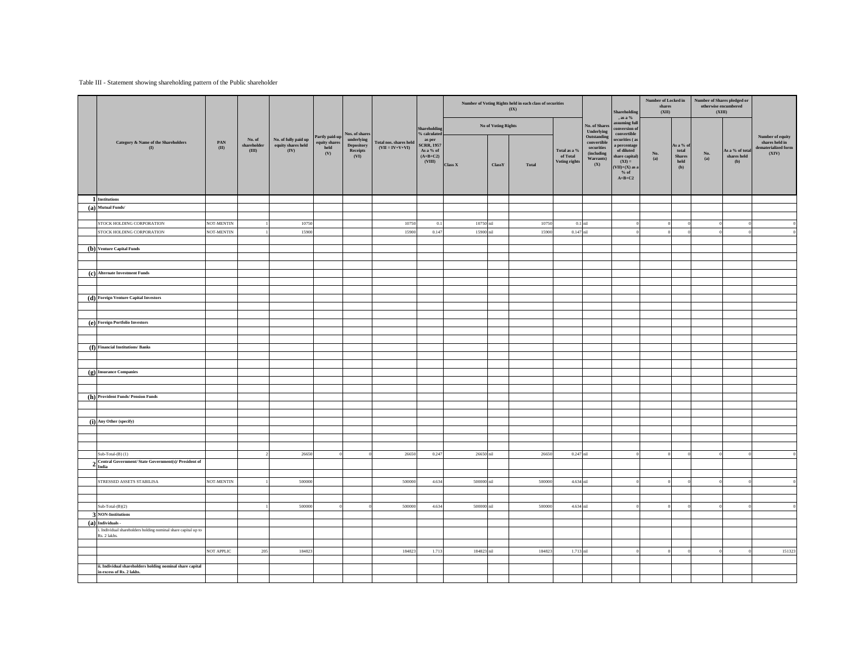## Table III - Statement showing shareholding pattern of the Public shareholder

|                                                                                            |                        |                              |                            |                              |                                |                                             |                                                        |                |                            | Number of Voting Rights held in each class of securities<br>(IX) |                                              | No. of Shares<br>Underlying<br>Outstanding                  | Shareholding<br>, as a $\%$<br><b>issuming full</b><br>conversion of<br>convertible<br>securities (as | Number of Locked in<br>shares<br>(XII) |                                                          | Number of Shares pledged or<br>otherwise encumbered<br>(XIII) |                                       |                                                |
|--------------------------------------------------------------------------------------------|------------------------|------------------------------|----------------------------|------------------------------|--------------------------------|---------------------------------------------|--------------------------------------------------------|----------------|----------------------------|------------------------------------------------------------------|----------------------------------------------|-------------------------------------------------------------|-------------------------------------------------------------------------------------------------------|----------------------------------------|----------------------------------------------------------|---------------------------------------------------------------|---------------------------------------|------------------------------------------------|
|                                                                                            |                        | No. of                       | No. of fully paid up       | Partly paid-up               | Nos. of share:<br>underlying   |                                             | <b>Shareholding</b><br>% calculated<br>as per          |                | No of Voting Rights        |                                                                  |                                              |                                                             |                                                                                                       |                                        |                                                          |                                                               |                                       | Number of equity                               |
| Category & Name of the Shareholders<br>$\mathbf{u}$                                        | $\mathbf{PAN}$<br>(II) | ${\tt shareholder}$<br>(III) | equity shares held<br>(IV) | equity shares<br>held<br>(V) | Depository<br>Receipts<br>(VI) | Total nos. shares held<br>$(VII = IV+V+VI)$ | <b>SCRR, 1957</b><br>As a % of<br>$(A+B+C2)$<br>(VIII) | $\rm{Class}~X$ | $\mathbf{Class}\mathbf{Y}$ | Total                                                            | Total as a $\%$<br>of Total<br>Voting rights | convertible<br>securities<br>(including<br>Warrants)<br>(X) | percentage<br>of diluted<br>share capital)<br>$(XD) =$<br>$(VII)+(X)$ as a<br>$%$ of<br>$A+B+C2$      | No.<br>(a)                             | As a % $\sigma$<br>total<br><b>Shares</b><br>held<br>(b) | No.<br>(a)                                                    | As a % of total<br>shares held<br>(b) | shares held in<br>dematerialized form<br>(XIV) |
| 1 Institutions                                                                             |                        |                              |                            |                              |                                |                                             |                                                        |                |                            |                                                                  |                                              |                                                             |                                                                                                       |                                        |                                                          |                                                               |                                       |                                                |
| (a) Mutual Funds/                                                                          |                        |                              |                            |                              |                                |                                             |                                                        |                |                            |                                                                  |                                              |                                                             |                                                                                                       |                                        |                                                          |                                                               |                                       |                                                |
|                                                                                            |                        |                              |                            |                              |                                |                                             |                                                        |                |                            |                                                                  |                                              |                                                             |                                                                                                       |                                        |                                                          |                                                               |                                       |                                                |
| STOCK HOLDING CORPORATION                                                                  | NOT-MENTIN             |                              | 10750                      |                              |                                | 1075                                        | 0.1                                                    | 10750          |                            | 1075                                                             | $0.1$ nil                                    |                                                             |                                                                                                       |                                        |                                                          |                                                               |                                       |                                                |
| STOCK HOLDING CORPORATION                                                                  | NOT-MENTIN             |                              | 15900                      |                              |                                | 15900                                       | 0.147                                                  | 15900 nil      |                            | 15900                                                            | 0.147 nil                                    |                                                             |                                                                                                       |                                        |                                                          |                                                               |                                       |                                                |
|                                                                                            |                        |                              |                            |                              |                                |                                             |                                                        |                |                            |                                                                  |                                              |                                                             |                                                                                                       |                                        |                                                          |                                                               |                                       |                                                |
| (b) Venture Capital Funds                                                                  |                        |                              |                            |                              |                                |                                             |                                                        |                |                            |                                                                  |                                              |                                                             |                                                                                                       |                                        |                                                          |                                                               |                                       |                                                |
|                                                                                            |                        |                              |                            |                              |                                |                                             |                                                        |                |                            |                                                                  |                                              |                                                             |                                                                                                       |                                        |                                                          |                                                               |                                       |                                                |
|                                                                                            |                        |                              |                            |                              |                                |                                             |                                                        |                |                            |                                                                  |                                              |                                                             |                                                                                                       |                                        |                                                          |                                                               |                                       |                                                |
| (c) Alternate Investment Funds                                                             |                        |                              |                            |                              |                                |                                             |                                                        |                |                            |                                                                  |                                              |                                                             |                                                                                                       |                                        |                                                          |                                                               |                                       |                                                |
|                                                                                            |                        |                              |                            |                              |                                |                                             |                                                        |                |                            |                                                                  |                                              |                                                             |                                                                                                       |                                        |                                                          |                                                               |                                       |                                                |
|                                                                                            |                        |                              |                            |                              |                                |                                             |                                                        |                |                            |                                                                  |                                              |                                                             |                                                                                                       |                                        |                                                          |                                                               |                                       |                                                |
| (d) Foreign Venture Capital Investors                                                      |                        |                              |                            |                              |                                |                                             |                                                        |                |                            |                                                                  |                                              |                                                             |                                                                                                       |                                        |                                                          |                                                               |                                       |                                                |
|                                                                                            |                        |                              |                            |                              |                                |                                             |                                                        |                |                            |                                                                  |                                              |                                                             |                                                                                                       |                                        |                                                          |                                                               |                                       |                                                |
|                                                                                            |                        |                              |                            |                              |                                |                                             |                                                        |                |                            |                                                                  |                                              |                                                             |                                                                                                       |                                        |                                                          |                                                               |                                       |                                                |
| (e) Foreign Portfolio Investors                                                            |                        |                              |                            |                              |                                |                                             |                                                        |                |                            |                                                                  |                                              |                                                             |                                                                                                       |                                        |                                                          |                                                               |                                       |                                                |
|                                                                                            |                        |                              |                            |                              |                                |                                             |                                                        |                |                            |                                                                  |                                              |                                                             |                                                                                                       |                                        |                                                          |                                                               |                                       |                                                |
| (f) Financial Institutions/ Banks                                                          |                        |                              |                            |                              |                                |                                             |                                                        |                |                            |                                                                  |                                              |                                                             |                                                                                                       |                                        |                                                          |                                                               |                                       |                                                |
|                                                                                            |                        |                              |                            |                              |                                |                                             |                                                        |                |                            |                                                                  |                                              |                                                             |                                                                                                       |                                        |                                                          |                                                               |                                       |                                                |
|                                                                                            |                        |                              |                            |                              |                                |                                             |                                                        |                |                            |                                                                  |                                              |                                                             |                                                                                                       |                                        |                                                          |                                                               |                                       |                                                |
| $(g)$ Insurance Companies                                                                  |                        |                              |                            |                              |                                |                                             |                                                        |                |                            |                                                                  |                                              |                                                             |                                                                                                       |                                        |                                                          |                                                               |                                       |                                                |
|                                                                                            |                        |                              |                            |                              |                                |                                             |                                                        |                |                            |                                                                  |                                              |                                                             |                                                                                                       |                                        |                                                          |                                                               |                                       |                                                |
|                                                                                            |                        |                              |                            |                              |                                |                                             |                                                        |                |                            |                                                                  |                                              |                                                             |                                                                                                       |                                        |                                                          |                                                               |                                       |                                                |
| (h) Provident Funds/ Pension Funds                                                         |                        |                              |                            |                              |                                |                                             |                                                        |                |                            |                                                                  |                                              |                                                             |                                                                                                       |                                        |                                                          |                                                               |                                       |                                                |
|                                                                                            |                        |                              |                            |                              |                                |                                             |                                                        |                |                            |                                                                  |                                              |                                                             |                                                                                                       |                                        |                                                          |                                                               |                                       |                                                |
|                                                                                            |                        |                              |                            |                              |                                |                                             |                                                        |                |                            |                                                                  |                                              |                                                             |                                                                                                       |                                        |                                                          |                                                               |                                       |                                                |
| (i) Any Other (specify)                                                                    |                        |                              |                            |                              |                                |                                             |                                                        |                |                            |                                                                  |                                              |                                                             |                                                                                                       |                                        |                                                          |                                                               |                                       |                                                |
|                                                                                            |                        |                              |                            |                              |                                |                                             |                                                        |                |                            |                                                                  |                                              |                                                             |                                                                                                       |                                        |                                                          |                                                               |                                       |                                                |
|                                                                                            |                        |                              |                            |                              |                                |                                             |                                                        |                |                            |                                                                  |                                              |                                                             |                                                                                                       |                                        |                                                          |                                                               |                                       |                                                |
|                                                                                            |                        |                              |                            |                              |                                |                                             |                                                        |                |                            |                                                                  |                                              |                                                             |                                                                                                       |                                        |                                                          |                                                               |                                       |                                                |
| $Sub-Total-(B)(1)$                                                                         |                        |                              | 26650                      |                              |                                | 26650                                       | 0.247                                                  | 26650 mil      |                            | 26650                                                            | 0.247 nil                                    |                                                             |                                                                                                       |                                        |                                                          |                                                               |                                       |                                                |
| Central Government/ State Government(s)/ President of<br>$2 \frac{\text{C}}{\text{India}}$ |                        |                              |                            |                              |                                |                                             |                                                        |                |                            |                                                                  |                                              |                                                             |                                                                                                       |                                        |                                                          |                                                               |                                       |                                                |
|                                                                                            |                        |                              |                            |                              |                                |                                             |                                                        |                |                            |                                                                  |                                              |                                                             |                                                                                                       |                                        |                                                          |                                                               |                                       |                                                |
| STRESSED ASSETS STABILISA                                                                  | NOT-MENTIN             |                              | 500000                     |                              |                                | 500000                                      | 4.634                                                  | 500000 nil     |                            | 500000                                                           | 4.634 nil                                    |                                                             |                                                                                                       |                                        |                                                          |                                                               |                                       |                                                |
|                                                                                            |                        |                              |                            |                              |                                |                                             |                                                        |                |                            |                                                                  |                                              |                                                             |                                                                                                       |                                        |                                                          |                                                               |                                       |                                                |
|                                                                                            |                        |                              |                            |                              |                                |                                             |                                                        |                |                            |                                                                  |                                              |                                                             |                                                                                                       |                                        |                                                          |                                                               |                                       |                                                |
| $Sub-Total-(B)(2)$                                                                         |                        |                              | 500000                     |                              |                                | 500000                                      | 4.634                                                  | 500000 nil     |                            | 500000                                                           | 4.634 nil                                    |                                                             |                                                                                                       |                                        |                                                          |                                                               |                                       |                                                |
| <b>3 NON-Institutions</b>                                                                  |                        |                              |                            |                              |                                |                                             |                                                        |                |                            |                                                                  |                                              |                                                             |                                                                                                       |                                        |                                                          |                                                               |                                       |                                                |
| $(a)$ Individuals -                                                                        |                        |                              |                            |                              |                                |                                             |                                                        |                |                            |                                                                  |                                              |                                                             |                                                                                                       |                                        |                                                          |                                                               |                                       |                                                |
| Individual shareholders holding nominal share capital up to<br>Rs. 2 lakhs.                |                        |                              |                            |                              |                                |                                             |                                                        |                |                            |                                                                  |                                              |                                                             |                                                                                                       |                                        |                                                          |                                                               |                                       |                                                |
|                                                                                            |                        |                              |                            |                              |                                |                                             |                                                        |                |                            |                                                                  |                                              |                                                             |                                                                                                       |                                        |                                                          |                                                               |                                       |                                                |
|                                                                                            | NOT APPLIC             | 205                          | 184823                     |                              |                                | 184823                                      | 1.713                                                  | 184823 nil     |                            | 184823                                                           | 1.713 mil                                    |                                                             |                                                                                                       |                                        |                                                          |                                                               |                                       | 151323                                         |
|                                                                                            |                        |                              |                            |                              |                                |                                             |                                                        |                |                            |                                                                  |                                              |                                                             |                                                                                                       |                                        |                                                          |                                                               |                                       |                                                |
| ii. Individual shareholders holding nominal share capital<br>in excess of Rs. 2 lakhs.     |                        |                              |                            |                              |                                |                                             |                                                        |                |                            |                                                                  |                                              |                                                             |                                                                                                       |                                        |                                                          |                                                               |                                       |                                                |
|                                                                                            |                        |                              |                            |                              |                                |                                             |                                                        |                |                            |                                                                  |                                              |                                                             |                                                                                                       |                                        |                                                          |                                                               |                                       |                                                |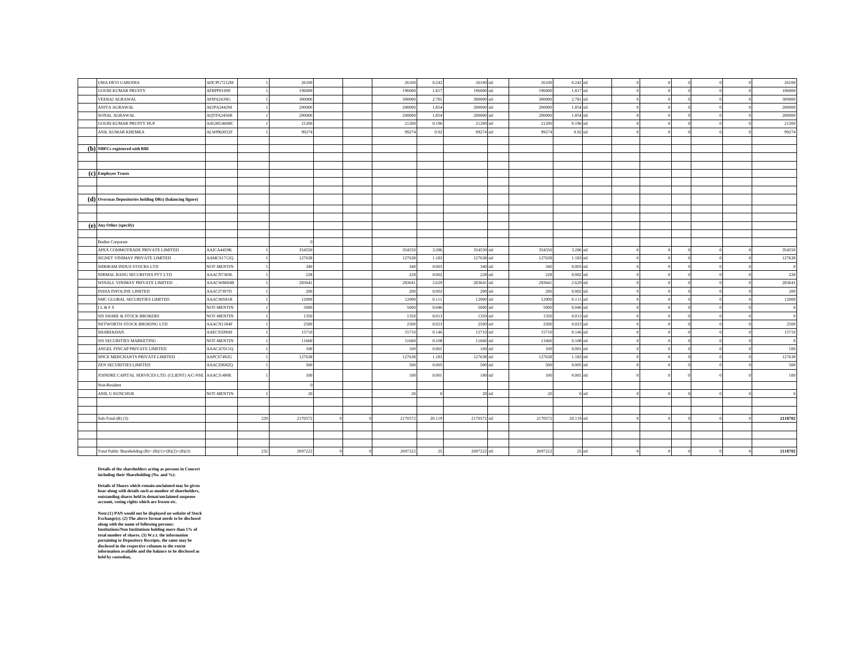| UMA DEVI GARODIA                                          | ADCPG7212M |     | 26100   |  | 26100  | 0.242  | 26100 nil   |        | 26100  | 0.242 nil   |     |  |  | 26100   |
|-----------------------------------------------------------|------------|-----|---------|--|--------|--------|-------------|--------|--------|-------------|-----|--|--|---------|
| <b>GOURI KUMAR PRUSTY</b>                                 | AFRPP0109F |     | 196000  |  | 196000 | 1.817  | 196000      |        | 196000 | 1.817       | sil |  |  | 196000  |
| VEERAJ AGRAWAL                                            | AFIPA2639G |     | 300000  |  | 30000  | 2.781  | 300000      |        | 300000 | 2.781       |     |  |  | 300000  |
| ANITA AGRAWAL                                             | AEJPA2442M |     | 200000  |  | 200000 | 1.854  | 200000 nil  |        | 200000 | 1.854 nil   |     |  |  | 200000  |
| SONAL AGRAWAL                                             | AQTPA2456R |     | 200000  |  | 200000 | 1.854  | 200000 nil  |        | 200000 | 1.854       |     |  |  | 200000  |
| <b>GOURI KUMAR PRUSTY HUF</b>                             | AAGHG4608C |     | 21200   |  | 21200  | 0.196  | 21200 nil   |        | 21200  | 0.196 nil   |     |  |  | 21200   |
| ANIL KUMAR KHEMKA                                         | ALWPK0032F |     | 99274   |  | 9927   | 0.92   | 99274       | nil    | 9927   | 0.92 nil    |     |  |  | 99274   |
|                                                           |            |     |         |  |        |        |             |        |        |             |     |  |  |         |
| (b) NBFCs registered with RBI                             |            |     |         |  |        |        |             |        |        |             |     |  |  |         |
|                                                           |            |     |         |  |        |        |             |        |        |             |     |  |  |         |
|                                                           |            |     |         |  |        |        |             |        |        |             |     |  |  |         |
| (c) Employee Trusts                                       |            |     |         |  |        |        |             |        |        |             |     |  |  |         |
|                                                           |            |     |         |  |        |        |             |        |        |             |     |  |  |         |
|                                                           |            |     |         |  |        |        |             |        |        |             |     |  |  |         |
| (d) Overseas Depositories holding DRs) (balancing figure) |            |     |         |  |        |        |             |        |        |             |     |  |  |         |
|                                                           |            |     |         |  |        |        |             |        |        |             |     |  |  |         |
|                                                           |            |     |         |  |        |        |             |        |        |             |     |  |  |         |
| (e) Any Other (specify)                                   |            |     |         |  |        |        |             |        |        |             |     |  |  |         |
|                                                           |            |     |         |  |        |        |             |        |        |             |     |  |  |         |
| <b>Bodies Corporate</b>                                   |            |     |         |  |        |        |             |        |        |             |     |  |  |         |
| APEX COMMOTRADE PRIVATE LIMITED                           | AAJCA4459K |     | 354550  |  | 354550 | 3.286  | 354550 nil  |        | 354550 | 3.286 nil   |     |  |  | 354550  |
| SIGNET VINIMAY PRIVATE LIMITED                            | AAMCS1712Q |     | 127638  |  | 12763  | 1.183  | 127638      |        | 127638 | 1.183       | nil |  |  | 127638  |
| SHRIRAM INDUS STOCKS LTD                                  | NOT-MENTIN |     | 340     |  | 340    | 0.003  | 340 nil     |        | 340    | 0.003       |     |  |  |         |
| NIRMAL BANG SECURITIES PVT LTD                            | AAACN7369L |     | 228     |  | 228    | 0.002  | 228 nil     |        | 228    | 0.002 nil   |     |  |  | 228     |
| WINALL VINIMAY PRIVATE LIMITED                            | AAACW8004B |     | 283641  |  | 283641 | 2.629  | 283641 nil  |        | 283641 | 2.629       |     |  |  | 283641  |
| INDIA INFOLINE LIMITED                                    | AAACI7397D |     | 200     |  | 200    | 0.002  | 200 nil     |        | 200    | 0.002       | nil |  |  | 200     |
| SMC GLOBAL SECURITIES LIMITED                             | AAACS0581R |     | 12000   |  | 12000  | 0.111  | 12000 nil   |        | 12000  | 0.111       |     |  |  | 12000   |
| IL & FS                                                   | NOT-MENTIN |     | 5000    |  | 5000   | 0.046  | 5000 nil    |        | 5000   | 0.046 nil   |     |  |  |         |
| SIS SHARE & STOCK BROKERS                                 | NOT-MENTIN |     | 1350    |  | 1350   | 0.013  | 1350 nil    |        | 1350   | 0.013       | nil |  |  |         |
| NETWORTH STOCK BROKING LTD                                | AAACN1184F |     | 2500    |  | 2500   | 0.02   | 2500 nil    |        | 2500   | 0.023       | sil |  |  | 2500    |
| <b>SHAREKHAN</b>                                          | AAECS5096H |     | 15710   |  | 15710  | 0.146  | 15710 nil   |        | 15710  | 0.146       |     |  |  | 15710   |
| SIS SECURITIES MARKETING                                  | NOT-MENTIN |     | 11660   |  | 11660  | 0.108  | 11660 nil   |        | 11660  | $0.108$ nil |     |  |  |         |
| ANGEL FINCAP PRIVATE LIMITED                              | AAACA7011Q |     | 100     |  | 100    | 0.001  | 100 nil     |        | 100    | 0.001       | nil |  |  | 100     |
| SPICE MERCHANTS PRIVATE LIMITED                           | AAPCS7492G |     | 127638  |  | 12763  | 1.183  | 127638 mil  |        | 127638 | 1.183       | nil |  |  | 127638  |
| ZEN SECURITIES LIMITED                                    | AAACZ0682Q |     | 500     |  | 500    | 0.005  | 500 nil     |        | 500    | 0.005       | nil |  |  | 500     |
| JOINDRE CAPITAL SERVICES LTD. (CLIENT) A/C-NSE AAACJ1480E |            |     | 100     |  | 100    | 0.001  | $100$ nil   |        | 100    | 0.001 nil   |     |  |  | 100     |
| Non-Resident                                              |            |     |         |  |        |        |             |        |        |             |     |  |  |         |
| ANIL U KUNCHUR                                            | NOT-MENTIN |     | 20      |  |        |        |             | 20 nil |        |             | nil |  |  |         |
|                                                           |            |     |         |  |        |        |             |        |        |             |     |  |  |         |
|                                                           |            |     |         |  |        |        |             |        |        |             |     |  |  |         |
| Sub-Total- $(B)$ $(3)$                                    |            | 229 | 2170572 |  | 217057 | 20.119 | 2170572 nil |        | 217057 | 20.119 mil  |     |  |  | 2118702 |
|                                                           |            |     |         |  |        |        |             |        |        |             |     |  |  |         |
|                                                           |            |     |         |  |        |        |             |        |        |             |     |  |  |         |
|                                                           |            |     |         |  |        |        |             |        |        |             |     |  |  |         |
| Total Public Shareholding $(B) = (B)(1)+(B)(2)+(B)(3)$    |            | 232 | 269722  |  | 269722 | $2^i$  | 2697222     | nil    | 269722 | 25          | nil |  |  | 2118702 |
|                                                           |            |     |         |  |        |        |             |        |        |             |     |  |  |         |

Details of the shareholders acting as persons in Concert<br>including their Shareholding (No. and %):

Details of Shares which remain unclaimed may be given<br>hear along with details such as number of shareholders,<br>outstanding shares held in demat/unclaimed suspense<br>account, voting rights which are frozen etc.

Note:(1) PAN would not be displayed on website of Stock<br>Exchange(s). (2) The above format needs to be disclosed along with the name of following persons:<br> $\sim$  The above format needs to be disclosed along with the name of